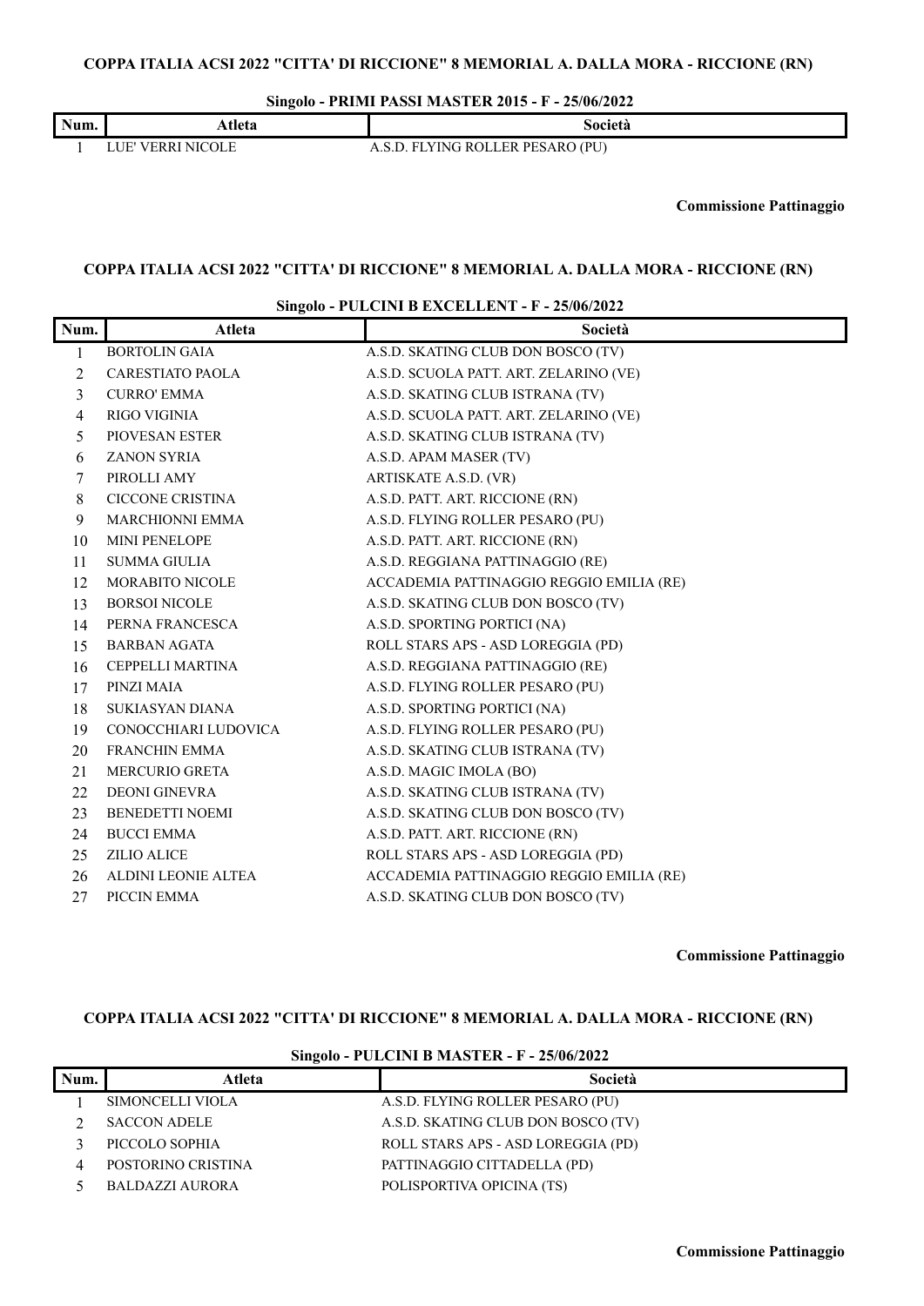**Singolo - PRIMI PASSI MASTER 2015 - F - 25/06/2022**

| Num. | Atleta               | Società                           |
|------|----------------------|-----------------------------------|
|      | VERRI NICOLE<br>. H. | LYING ROLLER PESARO (PU)<br>EN EI |

 $\overline{\mathsf{L}}$ 

**Commissione Pattinaggio**

#### **COPPA ITALIA ACSI 2022 "CITTA' DI RICCIONE" 8 MEMORIAL A. DALLA MORA - RICCIONE (RN)**

#### **Singolo - PULCINI B EXCELLENT - F - 25/06/2022**

| Num.           | Atleta                  | Società                                  |
|----------------|-------------------------|------------------------------------------|
| 1              | <b>BORTOLIN GAIA</b>    | A.S.D. SKATING CLUB DON BOSCO (TV)       |
| $\overline{2}$ | <b>CARESTIATO PAOLA</b> | A.S.D. SCUOLA PATT. ART. ZELARINO (VE)   |
| 3              | <b>CURRO' EMMA</b>      | A.S.D. SKATING CLUB ISTRANA (TV)         |
| 4              | <b>RIGO VIGINIA</b>     | A.S.D. SCUOLA PATT. ART. ZELARINO (VE)   |
| 5              | PIOVESAN ESTER          | A.S.D. SKATING CLUB ISTRANA (TV)         |
| 6              | <b>ZANON SYRIA</b>      | A.S.D. APAM MASER (TV)                   |
| 7              | PIROLLI AMY             | ARTISKATE A.S.D. (VR)                    |
| 8              | <b>CICCONE CRISTINA</b> | A.S.D. PATT. ART. RICCIONE (RN)          |
| 9              | MARCHIONNI EMMA         | A.S.D. FLYING ROLLER PESARO (PU)         |
| 10             | <b>MINI PENELOPE</b>    | A.S.D. PATT. ART. RICCIONE (RN)          |
| 11             | <b>SUMMA GIULIA</b>     | A.S.D. REGGIANA PATTINAGGIO (RE)         |
| 12             | MORABITO NICOLE         | ACCADEMIA PATTINAGGIO REGGIO EMILIA (RE) |
| 13             | <b>BORSOI NICOLE</b>    | A.S.D. SKATING CLUB DON BOSCO (TV)       |
| 14             | PERNA FRANCESCA         | A.S.D. SPORTING PORTICI (NA)             |
| 15             | <b>BARBAN AGATA</b>     | ROLL STARS APS - ASD LOREGGIA (PD)       |
| 16             | CEPPELLI MARTINA        | A.S.D. REGGIANA PATTINAGGIO (RE)         |
| 17             | PINZI MAIA              | A.S.D. FLYING ROLLER PESARO (PU)         |
| 18             | SUKIASYAN DIANA         | A.S.D. SPORTING PORTICI (NA)             |
| 19             | CONOCCHIARI LUDOVICA    | A.S.D. FLYING ROLLER PESARO (PU)         |
| 20             | <b>FRANCHIN EMMA</b>    | A.S.D. SKATING CLUB ISTRANA (TV)         |
| 21             | <b>MERCURIO GRETA</b>   | A.S.D. MAGIC IMOLA (BO)                  |
| 22             | <b>DEONI GINEVRA</b>    | A.S.D. SKATING CLUB ISTRANA (TV)         |
| 23             | <b>BENEDETTI NOEMI</b>  | A.S.D. SKATING CLUB DON BOSCO (TV)       |
| 24             | <b>BUCCI EMMA</b>       | A.S.D. PATT. ART. RICCIONE (RN)          |
| 25             | <b>ZILIO ALICE</b>      | ROLL STARS APS - ASD LOREGGIA (PD)       |
| 26             | ALDINI LEONIE ALTEA     | ACCADEMIA PATTINAGGIO REGGIO EMILIA (RE) |
| 27             | PICCIN EMMA             | A.S.D. SKATING CLUB DON BOSCO (TV)       |

**Commissione Pattinaggio**

#### **COPPA ITALIA ACSI 2022 "CITTA' DI RICCIONE" 8 MEMORIAL A. DALLA MORA - RICCIONE (RN)**

|      | $\frac{1}{2}$ SINg010 - PULCINI B MASTER - F - 25/00/2022 |                                    |  |
|------|-----------------------------------------------------------|------------------------------------|--|
| Num. | Atleta                                                    | Società                            |  |
|      | SIMONCELLI VIOLA                                          | A.S.D. FLYING ROLLER PESARO (PU)   |  |
|      | <b>SACCON ADELE</b>                                       | A.S.D. SKATING CLUB DON BOSCO (TV) |  |
|      | PICCOLO SOPHIA                                            | ROLL STARS APS - ASD LOREGGIA (PD) |  |
|      | POSTORINO CRISTINA                                        | PATTINAGGIO CITTADELLA (PD)        |  |
|      | BALDAZZI AURORA                                           | POLISPORTIVA OPICINA (TS)          |  |

# **Singolo - PULCINI B MASTER - F - 25/06/2022**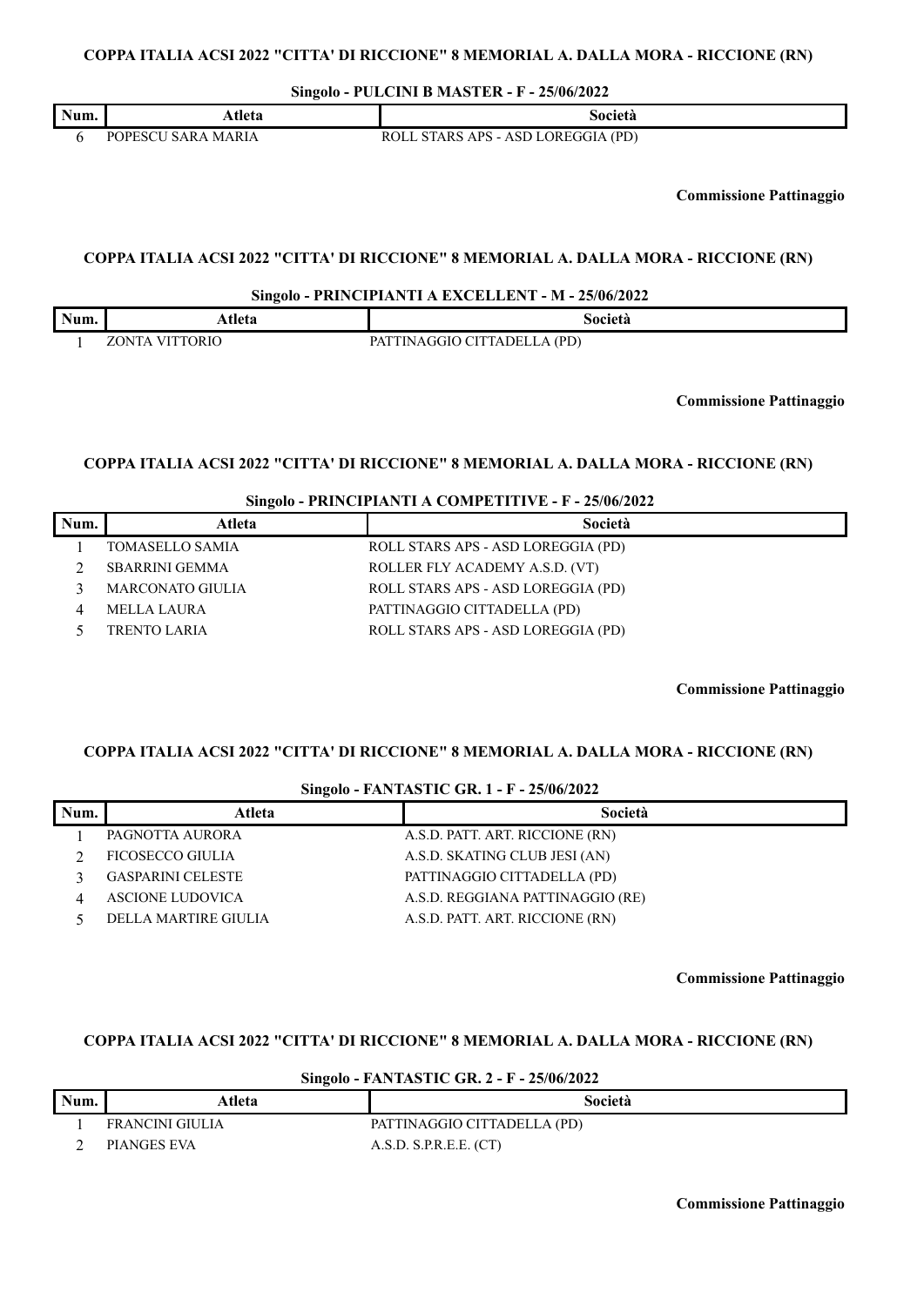# **COPPA ITALIA ACSI 2022 "CITTA' DI RICCIONE" 8 MEMORIAL A. DALLA MORA - RICCIONE (RN)**

**Singolo - PULCINI B MASTER - F - 25/06/2022**

| Num. | -<br>∖tleta                           | Società                                                 |
|------|---------------------------------------|---------------------------------------------------------|
|      | <b>MARIA</b><br>: A R A<br>Dr<br>،סטר | - ASD LOREGGIA (PD)<br>` APS - .<br>R∩I<br><b>STARS</b> |

**Commissione Pattinaggio**

### **COPPA ITALIA ACSI 2022 "CITTA' DI RICCIONE" 8 MEMORIAL A. DALLA MORA - RICCIONE (RN)**

**Singolo - PRINCIPIANTI A EXCELLENT - M - 25/06/2022**

| Num. | ⊾tleta                              | Societa                                                |
|------|-------------------------------------|--------------------------------------------------------|
|      | <b>TORIC</b><br>ו חרו<br>$\sqrt{1}$ | $A$ (PD)<br>`CITTADEL.<br>GGIO<br>$PAT^{\tau}$<br>'INI |

**Commissione Pattinaggio**

## **COPPA ITALIA ACSI 2022 "CITTA' DI RICCIONE" 8 MEMORIAL A. DALLA MORA - RICCIONE (RN)**

**Singolo - PRINCIPIANTI A COMPETITIVE - F - 25/06/2022**

| Num. | Atleta                  | Società                            |
|------|-------------------------|------------------------------------|
|      | TOMASELLO SAMIA         | ROLL STARS APS - ASD LOREGGIA (PD) |
|      | <b>SBARRINI GEMMA</b>   | ROLLER FLY ACADEMY A.S.D. (VT)     |
|      | <b>MARCONATO GIULIA</b> | ROLL STARS APS - ASD LOREGGIA (PD) |
|      | MELLA LAURA             | PATTINAGGIO CITTADELLA (PD)        |
|      | <b>TRENTO LARIA</b>     | ROLL STARS APS - ASD LOREGGIA (PD) |

**Commissione Pattinaggio**

#### **COPPA ITALIA ACSI 2022 "CITTA' DI RICCIONE" 8 MEMORIAL A. DALLA MORA - RICCIONE (RN)**

| Singolo - FANTASTIC GR. 1 - F - 25/06/2022 |
|--------------------------------------------|
|--------------------------------------------|

| Num. | Atleta                   | Società                          |
|------|--------------------------|----------------------------------|
|      | PAGNOTTA AURORA          | A.S.D. PATT. ART. RICCIONE (RN)  |
|      | FICOSECCO GIULIA         | A.S.D. SKATING CLUB JESI (AN)    |
|      | <b>GASPARINI CELESTE</b> | PATTINAGGIO CITTADELLA (PD)      |
|      | <b>ASCIONE LUDOVICA</b>  | A.S.D. REGGIANA PATTINAGGIO (RE) |
|      | DELLA MARTIRE GIULIA     | A.S.D. PATT. ART. RICCIONE (RN)  |
|      |                          |                                  |

**Commissione Pattinaggio**

#### **COPPA ITALIA ACSI 2022 "CITTA' DI RICCIONE" 8 MEMORIAL A. DALLA MORA - RICCIONE (RN)**

| Singolo - FANTASTIC GR. 2 - F - 25/06/2022 |                 |                             |
|--------------------------------------------|-----------------|-----------------------------|
| Num.                                       | Atleta          | Società                     |
|                                            | FRANCINI GIULIA | PATTINAGGIO CITTADELLA (PD) |
|                                            | PIANGES EVA     | A.S.D. S.P.R.E.E. (CT)      |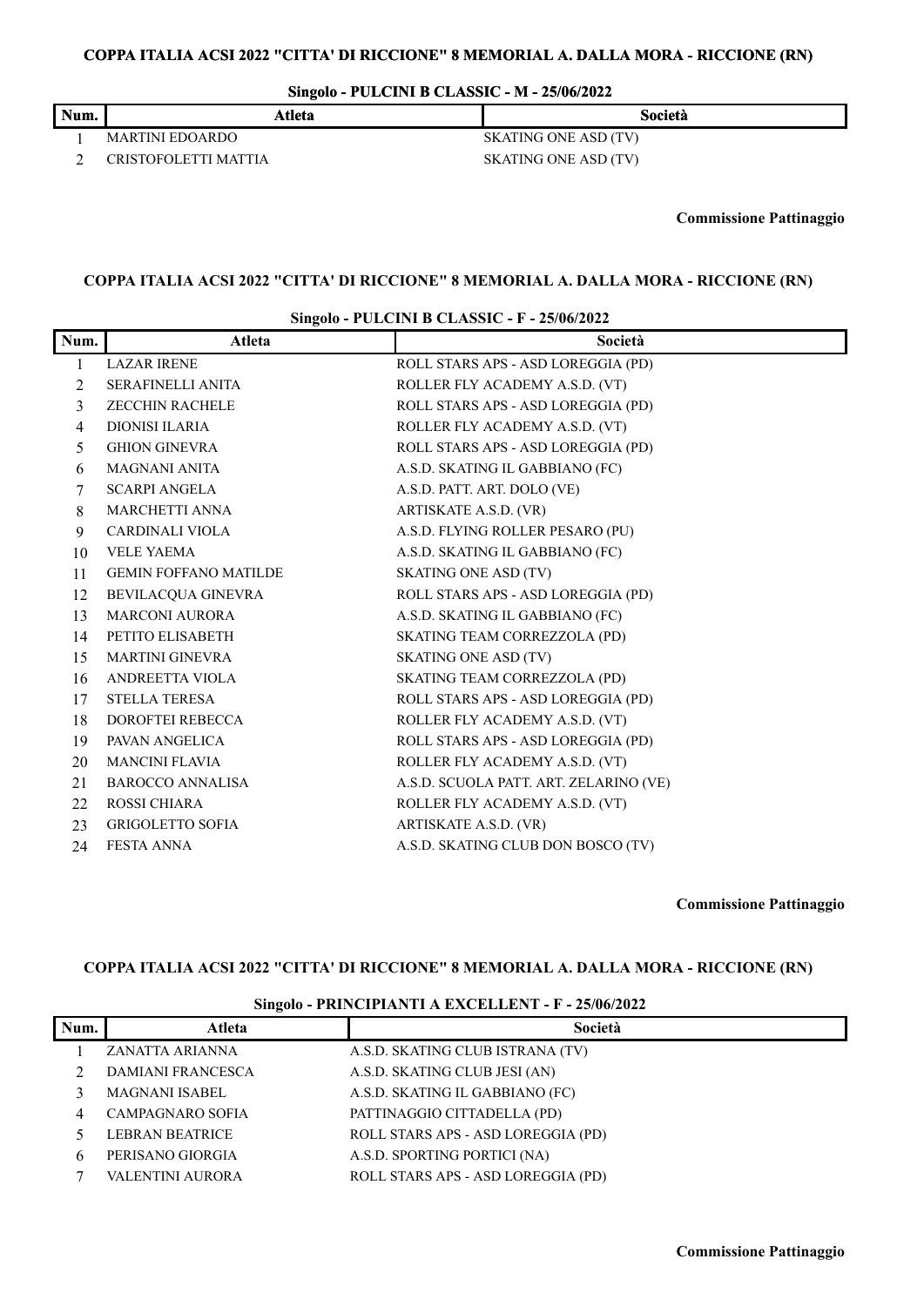# **COPPA ITALIA ACSI 2022 "CITTA' DI RICCIONE" 8 MEMORIAL A. DALLA MORA - RICCIONE (RN)**

**Singolo - PULCINI B CLASSIC - M - 25/06/2022**

| Num. | Atleta               | Società                     |  |
|------|----------------------|-----------------------------|--|
|      | MARTINI EDOARDO      | <b>SKATING ONE ASD (TV)</b> |  |
|      | CRISTOFOLETTI MATTIA | SKATING ONE ASD (TV)        |  |

**Commissione Pattinaggio**

### **COPPA ITALIA ACSI 2022 "CITTA' DI RICCIONE" 8 MEMORIAL A. DALLA MORA - RICCIONE (RN)**

#### **Singolo - PULCINI B CLASSIC - F - 25/06/2022**

| Num. | Atleta                       | Società                                |
|------|------------------------------|----------------------------------------|
| 1    | <b>LAZAR IRENE</b>           | ROLL STARS APS - ASD LOREGGIA (PD)     |
| 2    | <b>SERAFINELLI ANITA</b>     | ROLLER FLY ACADEMY A.S.D. (VT)         |
| 3    | <b>ZECCHIN RACHELE</b>       | ROLL STARS APS - ASD LOREGGIA (PD)     |
| 4    | DIONISI ILARIA               | ROLLER FLY ACADEMY A.S.D. (VT)         |
| 5    | <b>GHION GINEVRA</b>         | ROLL STARS APS - ASD LOREGGIA (PD)     |
| 6    | <b>MAGNANI ANITA</b>         | A.S.D. SKATING IL GABBIANO (FC)        |
| 7    | <b>SCARPI ANGELA</b>         | A.S.D. PATT. ART. DOLO (VE)            |
| 8    | <b>MARCHETTI ANNA</b>        | ARTISKATE A.S.D. (VR)                  |
| 9    | <b>CARDINALI VIOLA</b>       | A.S.D. FLYING ROLLER PESARO (PU)       |
| 10   | <b>VELE YAEMA</b>            | A.S.D. SKATING IL GABBIANO (FC)        |
| 11   | <b>GEMIN FOFFANO MATILDE</b> | <b>SKATING ONE ASD (TV)</b>            |
| 12   | <b>BEVILACQUA GINEVRA</b>    | ROLL STARS APS - ASD LOREGGIA (PD)     |
| 13   | <b>MARCONI AURORA</b>        | A.S.D. SKATING IL GABBIANO (FC)        |
| 14   | PETITO ELISABETH             | SKATING TEAM CORREZZOLA (PD)           |
| 15   | <b>MARTINI GINEVRA</b>       | <b>SKATING ONE ASD (TV)</b>            |
| 16   | ANDREETTA VIOLA              | SKATING TEAM CORREZZOLA (PD)           |
| 17   | <b>STELLA TERESA</b>         | ROLL STARS APS - ASD LOREGGIA (PD)     |
| 18   | <b>DOROFTEI REBECCA</b>      | ROLLER FLY ACADEMY A.S.D. (VT)         |
| 19   | PAVAN ANGELICA               | ROLL STARS APS - ASD LOREGGIA (PD)     |
| 20   | <b>MANCINI FLAVIA</b>        | ROLLER FLY ACADEMY A.S.D. (VT)         |
| 21   | <b>BAROCCO ANNALISA</b>      | A.S.D. SCUOLA PATT. ART. ZELARINO (VE) |
| 22   | <b>ROSSI CHIARA</b>          | ROLLER FLY ACADEMY A.S.D. (VT)         |
| 23   | <b>GRIGOLETTO SOFIA</b>      | ARTISKATE A.S.D. (VR)                  |
| 24   | <b>FESTA ANNA</b>            | A.S.D. SKATING CLUB DON BOSCO (TV)     |

**Commissione Pattinaggio**

# **COPPA ITALIA ACSI 2022 "CITTA' DI RICCIONE" 8 MEMORIAL A. DALLA MORA - RICCIONE (RN)**

#### **Singolo - PRINCIPIANTI A EXCELLENT - F - 25/06/2022**

| Num. | Atleta                   | Società                            |
|------|--------------------------|------------------------------------|
|      | ZANATTA ARIANNA          | A.S.D. SKATING CLUB ISTRANA (TV)   |
|      | <b>DAMIANI FRANCESCA</b> | A.S.D. SKATING CLUB JESI (AN)      |
|      | <b>MAGNANI ISABEL</b>    | A.S.D. SKATING IL GABBIANO (FC)    |
|      | <b>CAMPAGNARO SOFIA</b>  | PATTINAGGIO CITTADELLA (PD)        |
|      | <b>LEBRAN BEATRICE</b>   | ROLL STARS APS - ASD LOREGGIA (PD) |
| h    | PERISANO GIORGIA         | A.S.D. SPORTING PORTICI (NA)       |
|      | VALENTINI AURORA         | ROLL STARS APS - ASD LOREGGIA (PD) |